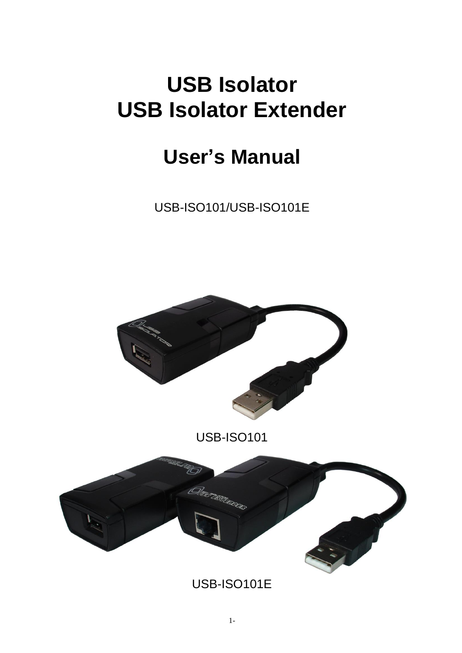# **USB Isolator USB Isolator Extender**

# **User's Manual**

USB-ISO101/USB-ISO101E



USB-ISO101



USB-ISO101E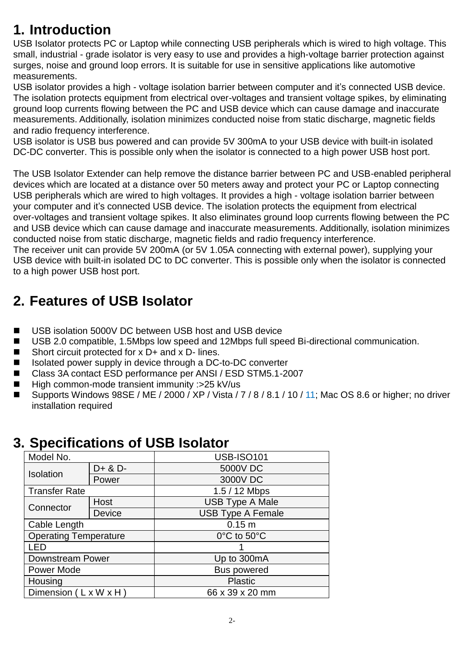# **1. Introduction**

USB Isolator protects PC or Laptop while connecting USB peripherals which is wired to high voltage. This small, industrial - grade isolator is very easy to use and provides a high-voltage barrier protection against surges, noise and ground loop errors. It is suitable for use in sensitive applications like automotive measurements.

USB isolator provides a high - voltage isolation barrier between computer and it's connected USB device. The isolation protects equipment from electrical over-voltages and transient voltage spikes, by eliminating ground loop currents flowing between the PC and USB device which can cause damage and inaccurate measurements. Additionally, isolation minimizes conducted noise from static discharge, magnetic fields and radio frequency interference.

USB isolator is USB bus powered and can provide 5V 300mA to your USB device with built-in isolated DC-DC converter. This is possible only when the isolator is connected to a high power USB host port.

The USB Isolator Extender can help remove the distance barrier between PC and USB-enabled peripheral devices which are located at a distance over 50 meters away and protect your PC or Laptop connecting USB peripherals which are wired to high voltages. It provides a high - voltage isolation barrier between your computer and it's connected USB device. The isolation protects the equipment from electrical over-voltages and transient voltage spikes. It also eliminates ground loop currents flowing between the PC and USB device which can cause damage and inaccurate measurements. Additionally, isolation minimizes conducted noise from static discharge, magnetic fields and radio frequency interference.

The receiver unit can provide 5V 200mA (or 5V 1.05A connecting with external power), supplying your USB device with built-in isolated DC to DC converter. This is possible only when the isolator is connected to a high power USB host port.

# **2. Features of USB Isolator**

- USB isolation 5000V DC between USB host and USB device
- USB 2.0 compatible, 1.5Mbps low speed and 12Mbps full speed Bi-directional communication.
- Short circuit protected for  $x$  D+ and  $x$  D- lines.
- Isolated power supply in device through a DC-to-DC converter
- Class 3A contact ESD performance per ANSI / ESD STM5.1-2007
- $\blacksquare$  High common-mode transient immunity :>25 kV/us
- Supports Windows 98SE / ME / 2000 / XP / Vista / 7 / 8 / 8.1 / 10 / 11; Mac OS 8.6 or higher; no driver installation required

### **3. Specifications of USB Isolator**

| Model No.                    |         | <b>USB-ISO101</b>               |
|------------------------------|---------|---------------------------------|
| Isolation                    | D+ & D- | 5000V DC                        |
|                              | Power   | 3000V DC                        |
| <b>Transfer Rate</b>         |         | 1.5 / 12 Mbps                   |
| Connector                    | Host    | <b>USB Type A Male</b>          |
|                              | Device  | <b>USB Type A Female</b>        |
| Cable Length                 |         | 0.15 m                          |
| <b>Operating Temperature</b> |         | $0^{\circ}$ C to $50^{\circ}$ C |
| - FD                         |         |                                 |
| <b>Downstream Power</b>      |         | Up to 300mA                     |
| Power Mode                   |         | <b>Bus powered</b>              |
| Housing                      |         | <b>Plastic</b>                  |
| Dimension (LxWxH)            |         | 66 x 39 x 20 mm                 |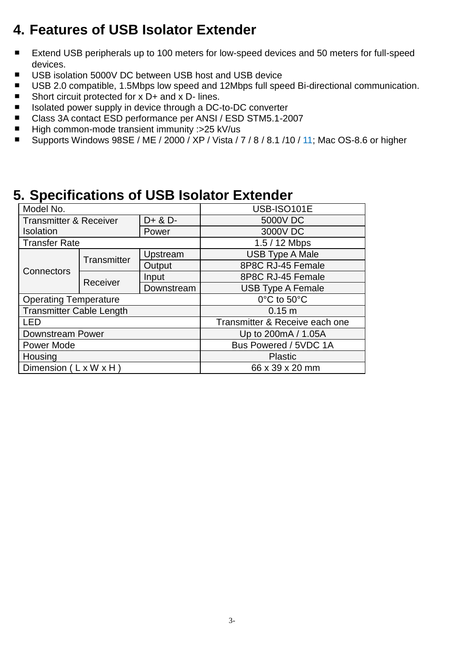### **4. Features of USB Isolator Extender**

- Extend USB peripherals up to 100 meters for low-speed devices and 50 meters for full-speed  $\blacksquare$ devices.
- USB isolation 5000V DC between USB host and USB device
- USB 2.0 compatible, 1.5Mbps low speed and 12Mbps full speed Bi-directional communication.
- Short circuit protected for x D+ and x D- lines. ٠
- Isolated power supply in device through a DC-to-DC converter ٠
- Class 3A contact ESD performance per ANSI / ESD STM5.1-2007  $\blacksquare$
- High common-mode transient immunity :>25 kV/us  $\blacksquare$
- Supports Windows 98SE / ME / 2000 / XP / Vista / 7 / 8 / 8.1 /10 / 11; Mac OS-8.6 or higher  $\blacksquare$

### **5. Specifications of USB Isolator Extender**

| Model No.                         |             |             | USB-ISO101E                    |  |
|-----------------------------------|-------------|-------------|--------------------------------|--|
| <b>Transmitter &amp; Receiver</b> |             | $D+ 8$ $D-$ | 5000V DC                       |  |
| <b>Isolation</b>                  |             | Power       | 3000V DC                       |  |
| <b>Transfer Rate</b>              |             |             | 1.5 / 12 Mbps                  |  |
| Connectors                        | Transmitter | Upstream    | <b>USB Type A Male</b>         |  |
|                                   |             | Output      | 8P8C RJ-45 Female              |  |
|                                   | Receiver    | Input       | 8P8C RJ-45 Female              |  |
|                                   |             | Downstream  | <b>USB Type A Female</b>       |  |
| <b>Operating Temperature</b>      |             |             | 0°C to 50°C                    |  |
| <b>Transmitter Cable Length</b>   |             |             | 0.15 m                         |  |
| <b>LED</b>                        |             |             | Transmitter & Receive each one |  |
| Downstream Power                  |             |             | Up to 200mA / 1.05A            |  |
| Power Mode                        |             |             | Bus Powered / 5VDC 1A          |  |
| Housing                           |             |             | <b>Plastic</b>                 |  |
| Dimension (LxWxH)                 |             |             | 66 x 39 x 20 mm                |  |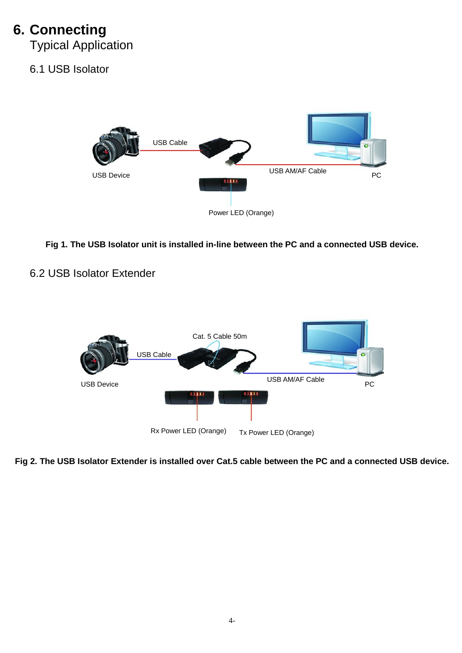### **6. Connecting**

Typical Application

### 6.1 USB Isolator



**Fig 1. The USB Isolator unit is installed in-line between the PC and a connected USB device.**

#### 6.2 USB Isolator Extender



**Fig 2. The USB Isolator Extender is installed over Cat.5 cable between the PC and a connected USB device.**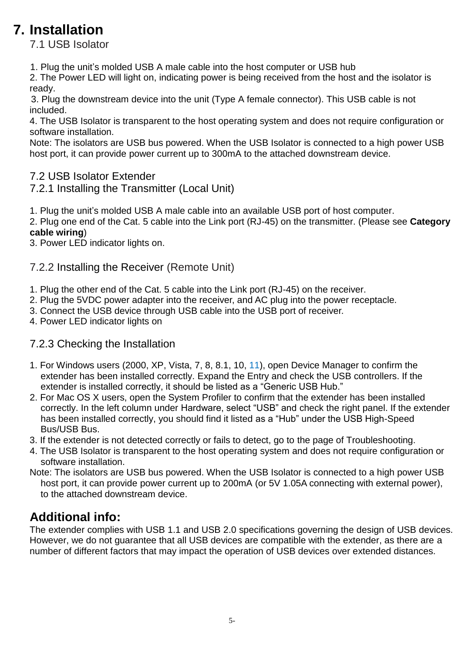# **7. Installation**

7.1 USB Isolator

1. Plug the unit's molded USB A male cable into the host computer or USB hub

2. The Power LED will light on, indicating power is being received from the host and the isolator is ready.

3. Plug the downstream device into the unit (Type A female connector). This USB cable is not included.

4. The USB Isolator is transparent to the host operating system and does not require configuration or software installation.

Note: The isolators are USB bus powered. When the USB Isolator is connected to a high power USB host port, it can provide power current up to 300mA to the attached downstream device.

### 7.2 USB Isolator Extender

7.2.1 Installing the Transmitter (Local Unit)

1. Plug the unit's molded USB A male cable into an available USB port of host computer.

2. Plug one end of the Cat. 5 cable into the Link port (RJ-45) on the transmitter. (Please see **Category cable wiring**)

3. Power LED indicator lights on.

#### 7.2.2 Installing the Receiver (Remote Unit)

- 1. Plug the other end of the Cat. 5 cable into the Link port (RJ-45) on the receiver.
- 2. Plug the 5VDC power adapter into the receiver, and AC plug into the power receptacle.
- 3. Connect the USB device through USB cable into the USB port of receiver.
- 4. Power LED indicator lights on

### 7.2.3 Checking the Installation

- 1. For Windows users (2000, XP, Vista, 7, 8, 8.1, 10, 11), open Device Manager to confirm the extender has been installed correctly. Expand the Entry and check the USB controllers. If the extender is installed correctly, it should be listed as a "Generic USB Hub."
- 2. For Mac OS X users, open the System Profiler to confirm that the extender has been installed correctly. In the left column under Hardware, select "USB" and check the right panel. If the extender has been installed correctly, you should find it listed as a "Hub" under the USB High-Speed Bus/USB Bus.
- 3. If the extender is not detected correctly or fails to detect, go to the page of Troubleshooting.
- 4. The USB Isolator is transparent to the host operating system and does not require configuration or software installation.
- Note: The isolators are USB bus powered. When the USB Isolator is connected to a high power USB host port, it can provide power current up to 200mA (or 5V 1.05A connecting with external power), to the attached downstream device.

### **Additional info:**

The extender complies with USB 1.1 and USB 2.0 specifications governing the design of USB devices. However, we do not guarantee that all USB devices are compatible with the extender, as there are a number of different factors that may impact the operation of USB devices over extended distances.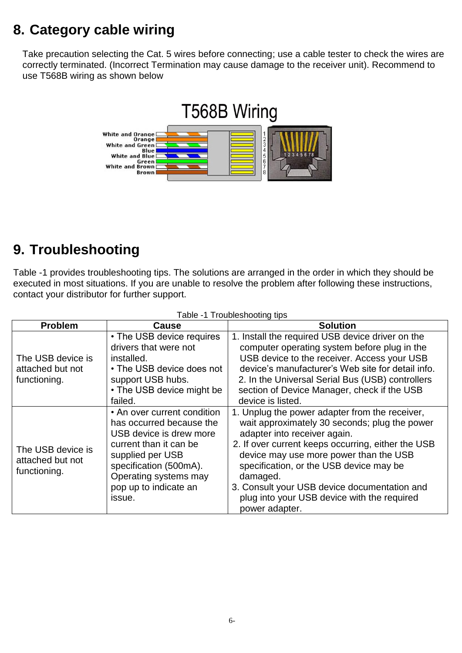# **8. Category cable wiring**

 Take precaution selecting the Cat. 5 wires before connecting; use a cable tester to check the wires are correctly terminated. (Incorrect Termination may cause damage to the receiver unit). Recommend to use T568B wiring as shown below



### **9. Troubleshooting**

Table -1 provides troubleshooting tips. The solutions are arranged in the order in which they should be executed in most situations. If you are unable to resolve the problem after following these instructions, contact your distributor for further support.

| <b>Problem</b>                                        | Cause                                                                                                                                                                                                                  | <b>Solution</b>                                                                                                                                                                                                                                                                                                                                                                                         |
|-------------------------------------------------------|------------------------------------------------------------------------------------------------------------------------------------------------------------------------------------------------------------------------|---------------------------------------------------------------------------------------------------------------------------------------------------------------------------------------------------------------------------------------------------------------------------------------------------------------------------------------------------------------------------------------------------------|
| The USB device is<br>attached but not<br>functioning. | • The USB device requires<br>drivers that were not<br>installed.<br>• The USB device does not<br>support USB hubs.<br>• The USB device might be<br>failed.                                                             | 1. Install the required USB device driver on the<br>computer operating system before plug in the<br>USB device to the receiver. Access your USB<br>device's manufacturer's Web site for detail info.<br>2. In the Universal Serial Bus (USB) controllers<br>section of Device Manager, check if the USB<br>device is listed.                                                                            |
| The USB device is<br>attached but not<br>functioning. | • An over current condition<br>has occurred because the<br>USB device is drew more<br>current than it can be<br>supplied per USB<br>specification (500mA).<br>Operating systems may<br>pop up to indicate an<br>issue. | 1. Unplug the power adapter from the receiver,<br>wait approximately 30 seconds; plug the power<br>adapter into receiver again.<br>2. If over current keeps occurring, either the USB<br>device may use more power than the USB<br>specification, or the USB device may be<br>damaged.<br>3. Consult your USB device documentation and<br>plug into your USB device with the required<br>power adapter. |